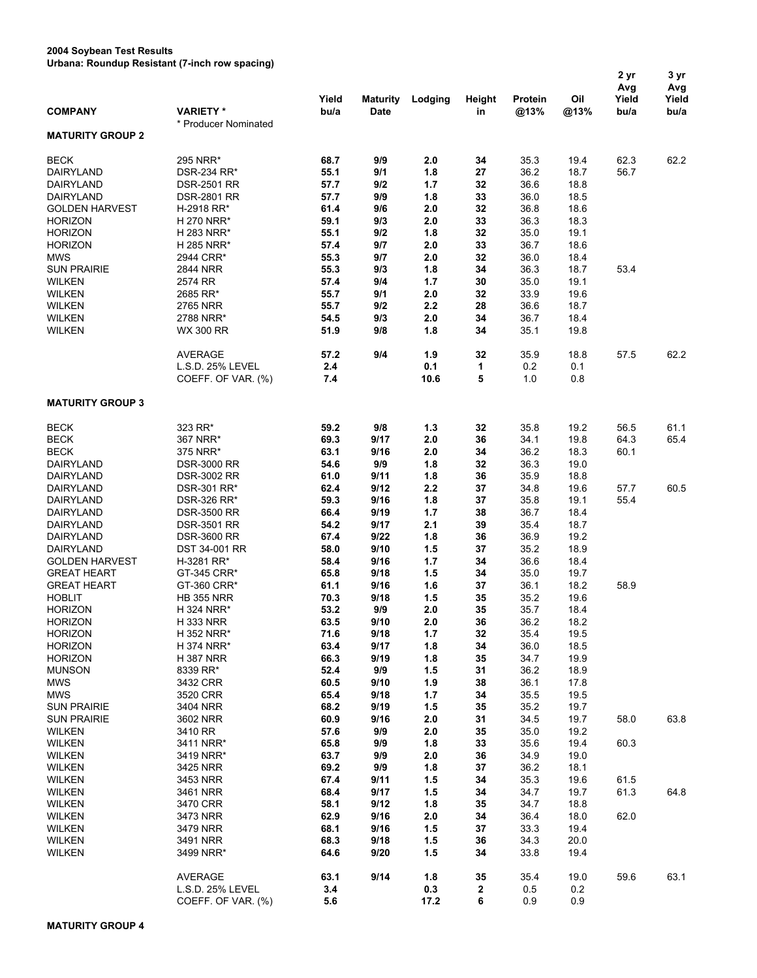## **2004 Soybean Test Results Urbana: Roundup Resistant (7-inch row spacing)**

|                                  | 015ana. Rodnaap Roolotant († 111011 1011 opaollig) | Yield        | <b>Maturity</b> | Lodging    | Height   | Protein      | Oil          | 2 yr<br>Avg<br>Yield | 3 yr<br>Avg<br>Yield |
|----------------------------------|----------------------------------------------------|--------------|-----------------|------------|----------|--------------|--------------|----------------------|----------------------|
| <b>COMPANY</b>                   | <b>VARIETY*</b><br>* Producer Nominated            | bu/a         | <b>Date</b>     |            | in       | @13%         | @13%         | bu/a                 | bu/a                 |
| <b>MATURITY GROUP 2</b>          |                                                    |              |                 |            |          |              |              |                      |                      |
| <b>BECK</b>                      | 295 NRR*                                           | 68.7         | 9/9             | 2.0        | 34       | 35.3         | 19.4         | 62.3                 | 62.2                 |
| DAIRYLAND                        | DSR-234 RR*                                        | 55.1         | 9/1             | 1.8        | 27       | 36.2         | 18.7         | 56.7                 |                      |
| <b>DAIRYLAND</b>                 | <b>DSR-2501 RR</b>                                 | 57.7         | 9/2             | 1.7        | 32       | 36.6         | 18.8         |                      |                      |
| DAIRYLAND                        | <b>DSR-2801 RR</b>                                 | 57.7         | 9/9             | 1.8        | 33       | 36.0         | 18.5         |                      |                      |
| <b>GOLDEN HARVEST</b>            | H-2918 RR*                                         | 61.4         | 9/6             | 2.0        | 32       | 36.8         | 18.6         |                      |                      |
| <b>HORIZON</b><br><b>HORIZON</b> | H 270 NRR*<br>H 283 NRR*                           | 59.1<br>55.1 | 9/3<br>9/2      | 2.0<br>1.8 | 33<br>32 | 36.3<br>35.0 | 18.3<br>19.1 |                      |                      |
| <b>HORIZON</b>                   | H 285 NRR*                                         | 57.4         | 9/7             | 2.0        | 33       | 36.7         | 18.6         |                      |                      |
| <b>MWS</b>                       | 2944 CRR*                                          | 55.3         | 9/7             | 2.0        | 32       | 36.0         | 18.4         |                      |                      |
| <b>SUN PRAIRIE</b>               | 2844 NRR                                           | 55.3         | 9/3             | 1.8        | 34       | 36.3         | 18.7         | 53.4                 |                      |
| <b>WILKEN</b>                    | 2574 RR                                            | 57.4         | 9/4             | 1.7        | 30       | 35.0         | 19.1         |                      |                      |
| <b>WILKEN</b>                    | 2685 RR*                                           | 55.7         | 9/1             | 2.0        | 32       | 33.9         | 19.6         |                      |                      |
| <b>WILKEN</b>                    | 2765 NRR                                           | 55.7         | 9/2             | 2.2        | 28       | 36.6         | 18.7         |                      |                      |
| <b>WILKEN</b>                    | 2788 NRR*                                          | 54.5         | 9/3             | 2.0        | 34       | 36.7         | 18.4         |                      |                      |
| <b>WILKEN</b>                    | WX 300 RR                                          | 51.9         | 9/8             | 1.8        | 34       | 35.1         | 19.8         |                      |                      |
|                                  | AVERAGE                                            | 57.2         | 9/4             | 1.9        | 32       | 35.9         | 18.8         | 57.5                 | 62.2                 |
|                                  | L.S.D. 25% LEVEL                                   | 2.4          |                 | 0.1        | 1        | 0.2          | 0.1          |                      |                      |
|                                  | COEFF. OF VAR. (%)                                 | 7.4          |                 | 10.6       | 5        | 1.0          | 0.8          |                      |                      |
| <b>MATURITY GROUP 3</b>          |                                                    |              |                 |            |          |              |              |                      |                      |
| <b>BECK</b>                      | 323 RR*                                            | 59.2         | 9/8             | $1.3$      | 32       | 35.8         | 19.2         | 56.5                 | 61.1                 |
| <b>BECK</b>                      | 367 NRR*                                           | 69.3         | 9/17            | 2.0        | 36       | 34.1         | 19.8         | 64.3                 | 65.4                 |
| <b>BECK</b>                      | 375 NRR*                                           | 63.1         | 9/16            | 2.0        | 34       | 36.2         | 18.3         | 60.1                 |                      |
| DAIRYLAND                        | <b>DSR-3000 RR</b>                                 | 54.6         | 9/9             | 1.8        | 32       | 36.3         | 19.0         |                      |                      |
| DAIRYLAND                        | <b>DSR-3002 RR</b>                                 | 61.0         | 9/11            | 1.8        | 36       | 35.9         | 18.8         |                      |                      |
| DAIRYLAND                        | DSR-301 RR*                                        | 62.4         | 9/12            | 2.2        | 37       | 34.8         | 19.6         | 57.7                 | 60.5                 |
| DAIRYLAND                        | DSR-326 RR*                                        | 59.3         | 9/16            | 1.8        | 37       | 35.8         | 19.1         | 55.4                 |                      |
| DAIRYLAND<br>DAIRYLAND           | <b>DSR-3500 RR</b><br><b>DSR-3501 RR</b>           | 66.4<br>54.2 | 9/19<br>9/17    | 1.7<br>2.1 | 38<br>39 | 36.7<br>35.4 | 18.4<br>18.7 |                      |                      |
| DAIRYLAND                        | <b>DSR-3600 RR</b>                                 | 67.4         | 9/22            | 1.8        | 36       | 36.9         | 19.2         |                      |                      |
| DAIRYLAND                        | DST 34-001 RR                                      | 58.0         | 9/10            | 1.5        | 37       | 35.2         | 18.9         |                      |                      |
| <b>GOLDEN HARVEST</b>            | H-3281 RR*                                         | 58.4         | 9/16            | 1.7        | 34       | 36.6         | 18.4         |                      |                      |
| <b>GREAT HEART</b>               | GT-345 CRR*                                        | 65.8         | 9/18            | 1.5        | 34       | 35.0         | 19.7         |                      |                      |
| <b>GREAT HEART</b>               | GT-360 CRR*                                        | 61.1         | 9/16            | 1.6        | 37       | 36.1         | 18.2         | 58.9                 |                      |
| <b>HOBLIT</b>                    | <b>HB 355 NRR</b>                                  | 70.3         | 9/18            | 1.5        | 35       | 35.2         | 19.6         |                      |                      |
| <b>HORIZON</b>                   | H 324 NRR*                                         | 53.2         | 9/9             | 2.0        | 35       | 35.7         | 18.4         |                      |                      |
| <b>HORIZON</b>                   | H 333 NRR                                          | 63.5         | 9/10            | 2.0        | 36       | 36.2         | 18.2         |                      |                      |
| <b>HORIZON</b><br><b>HORIZON</b> | H 352 NRR*<br>H 374 NRR*                           | 71.6<br>63.4 | 9/18<br>9/17    | 1.7        | 32<br>34 | 35.4<br>36.0 | 19.5<br>18.5 |                      |                      |
| <b>HORIZON</b>                   | <b>H387 NRR</b>                                    | 66.3         | 9/19            | 1.8<br>1.8 | 35       | 34.7         | 19.9         |                      |                      |
| <b>MUNSON</b>                    | 8339 RR*                                           | 52.4         | 9/9             | 1.5        | 31       | 36.2         | 18.9         |                      |                      |
| <b>MWS</b>                       | 3432 CRR                                           | 60.5         | 9/10            | 1.9        | 38       | 36.1         | 17.8         |                      |                      |
| <b>MWS</b>                       | 3520 CRR                                           | 65.4         | 9/18            | 1.7        | 34       | 35.5         | 19.5         |                      |                      |
| <b>SUN PRAIRIE</b>               | 3404 NRR                                           | 68.2         | 9/19            | 1.5        | 35       | 35.2         | 19.7         |                      |                      |
| <b>SUN PRAIRIE</b>               | 3602 NRR                                           | 60.9         | 9/16            | 2.0        | 31       | 34.5         | 19.7         | 58.0                 | 63.8                 |
| <b>WILKEN</b>                    | 3410 RR                                            | 57.6         | 9/9             | 2.0        | 35       | 35.0         | 19.2         |                      |                      |
| <b>WILKEN</b>                    | 3411 NRR*                                          | 65.8         | 9/9             | 1.8        | 33       | 35.6         | 19.4         | 60.3                 |                      |
| <b>WILKEN</b>                    | 3419 NRR*                                          | 63.7         | 9/9             | 2.0        | 36       | 34.9         | 19.0         |                      |                      |
| <b>WILKEN</b>                    | 3425 NRR                                           | 69.2         | 9/9             | 1.8        | 37       | 36.2         | 18.1         |                      |                      |
| <b>WILKEN</b>                    | 3453 NRR                                           | 67.4         | 9/11            | 1.5        | 34       | 35.3         | 19.6         | 61.5                 |                      |
| <b>WILKEN</b><br><b>WILKEN</b>   | 3461 NRR<br>3470 CRR                               | 68.4<br>58.1 | 9/17<br>9/12    | 1.5<br>1.8 | 34<br>35 | 34.7<br>34.7 | 19.7<br>18.8 | 61.3                 | 64.8                 |
| <b>WILKEN</b>                    | 3473 NRR                                           | 62.9         | 9/16            | 2.0        | 34       | 36.4         | 18.0         | 62.0                 |                      |
| <b>WILKEN</b>                    | 3479 NRR                                           | 68.1         | 9/16            | 1.5        | 37       | 33.3         | 19.4         |                      |                      |
| <b>WILKEN</b>                    | 3491 NRR                                           | 68.3         | 9/18            | 1.5        | 36       | 34.3         | 20.0         |                      |                      |
| <b>WILKEN</b>                    | 3499 NRR*                                          | 64.6         | 9/20            | 1.5        | 34       | 33.8         | 19.4         |                      |                      |
|                                  | <b>AVERAGE</b>                                     | 63.1         | 9/14            | 1.8        | 35       | 35.4         | 19.0         | 59.6                 | 63.1                 |
|                                  | L.S.D. 25% LEVEL                                   | 3.4          |                 | 0.3        | 2        | 0.5          | 0.2          |                      |                      |
|                                  | COEFF. OF VAR. (%)                                 | 5.6          |                 | 17.2       | 6        | 0.9          | 0.9          |                      |                      |